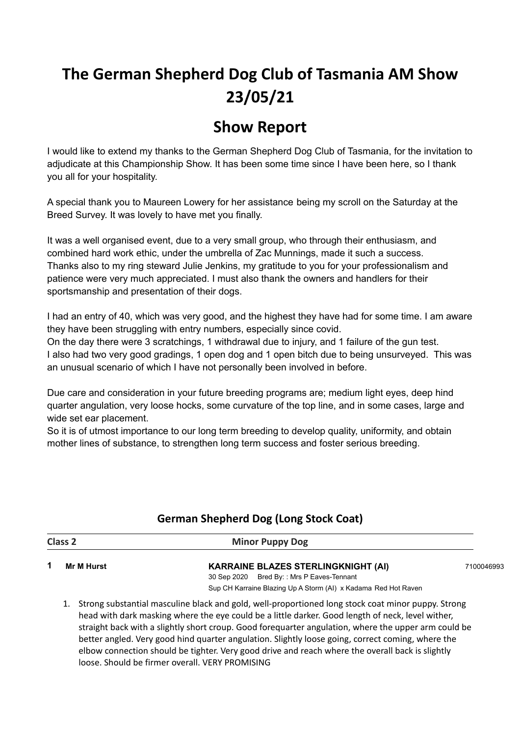# **The German Shepherd Dog Club of Tasmania AM Show 23/05/21**

## **Show Report**

I would like to extend my thanks to the German Shepherd Dog Club of Tasmania, for the invitation to adjudicate at this Championship Show. It has been some time since I have been here, so I thank you all for your hospitality.

A special thank you to Maureen Lowery for her assistance being my scroll on the Saturday at the Breed Survey. It was lovely to have met you finally.

It was a well organised event, due to a very small group, who through their enthusiasm, and combined hard work ethic, under the umbrella of Zac Munnings, made it such a success. Thanks also to my ring steward Julie Jenkins, my gratitude to you for your professionalism and patience were very much appreciated. I must also thank the owners and handlers for their sportsmanship and presentation of their dogs.

I had an entry of 40, which was very good, and the highest they have had for some time. I am aware they have been struggling with entry numbers, especially since covid.

On the day there were 3 scratchings, 1 withdrawal due to injury, and 1 failure of the gun test. I also had two very good gradings, 1 open dog and 1 open bitch due to being unsurveyed. This was an unusual scenario of which I have not personally been involved in before.

Due care and consideration in your future breeding programs are; medium light eyes, deep hind quarter angulation, very loose hocks, some curvature of the top line, and in some cases, large and wide set ear placement.

So it is of utmost importance to our long term breeding to develop quality, uniformity, and obtain mother lines of substance, to strengthen long term success and foster serious breeding.

| 1<br><b>Mr M Hurst</b>                                                                     |            |
|--------------------------------------------------------------------------------------------|------------|
| <b>KARRAINE BLAZES STERLINGKNIGHT (AI)</b><br>Bred By:: Mrs P Eaves-Tennant<br>30 Sep 2020 | 7100046993 |
| Sup CH Karraine Blazing Up A Storm (AI) x Kadama Red Hot Raven                             |            |

## **German Shepherd Dog (Long Stock Coat)**

head with dark masking where the eye could be a little darker. Good length of neck, level wither, straight back with a slightly short croup. Good forequarter angulation, where the upper arm could be better angled. Very good hind quarter angulation. Slightly loose going, correct coming, where the elbow connection should be tighter. Very good drive and reach where the overall back is slightly loose. Should be firmer overall. VERY PROMISING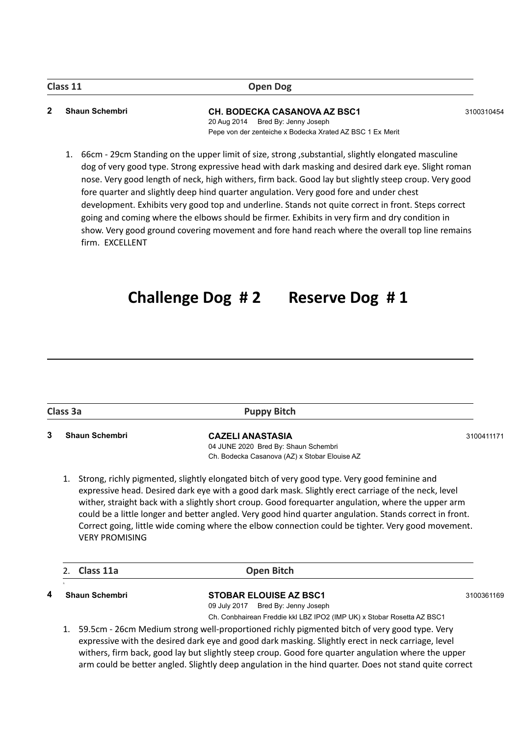#### **Class 11 Open Dog**

#### **2 Shaun Schembri CH. BODECKA CASANOVA AZ BSC1** 3100310454

20 Aug 2014 Bred By: Jenny Joseph Pepe von der zenteiche x Bodecka Xrated AZ BSC 1 Ex Merit

1. 66cm - 29cm Standing on the upper limit of size, strong ,substantial, slightly elongated masculine dog of very good type. Strong expressive head with dark masking and desired dark eye. Slight roman nose. Very good length of neck, high withers, firm back. Good lay but slightly steep croup. Very good fore quarter and slightly deep hind quarter angulation. Very good fore and under chest development. Exhibits very good top and underline. Stands not quite correct in front. Steps correct going and coming where the elbows should be firmer. Exhibits in very firm and dry condition in show. Very good ground covering movement and fore hand reach where the overall top line remains firm. EXCELLENT

## **Challenge Dog # 2 Reserve Dog # 1**

| Class 3a              | <b>Puppy Bitch</b>                                                                                                                                                                                                                                                                                                   |            |
|-----------------------|----------------------------------------------------------------------------------------------------------------------------------------------------------------------------------------------------------------------------------------------------------------------------------------------------------------------|------------|
| <b>Shaun Schembri</b> | <b>CAZELI ANASTASIA</b>                                                                                                                                                                                                                                                                                              | 3100411171 |
|                       | 04 JUNE 2020 Bred By: Shaun Schembri                                                                                                                                                                                                                                                                                 |            |
|                       | Ch. Bodecka Casanova (AZ) x Stobar Elouise AZ                                                                                                                                                                                                                                                                        |            |
|                       | Strong, richly pigmented, slightly elongated bitch of very good type. Very good feminine and<br>expressive head. Desired dark eye with a good dark mask. Slightly erect carriage of the neck, level                                                                                                                  |            |
| <b>VERY PROMISING</b> | wither, straight back with a slightly short croup. Good forequarter angulation, where the upper arm<br>could be a little longer and better angled. Very good hind quarter angulation. Stands correct in front.<br>Correct going, little wide coming where the elbow connection could be tighter. Very good movement. |            |

**4 Shaun Schembri STOBAR ELOUISE AZ BSC1** 3100361169

09 July 2017 Bred By: Jenny Joseph

Ch. Conbhairean Freddie kkl LBZ IPO2 (IMP UK) x Stobar Rosetta AZ BSC1

1. 59.5cm - 26cm Medium strong well-proportioned richly pigmented bitch of very good type. Very expressive with the desired dark eye and good dark masking. Slightly erect in neck carriage, level withers, firm back, good lay but slightly steep croup. Good fore quarter angulation where the upper arm could be better angled. Slightly deep angulation in the hind quarter. Does not stand quite correct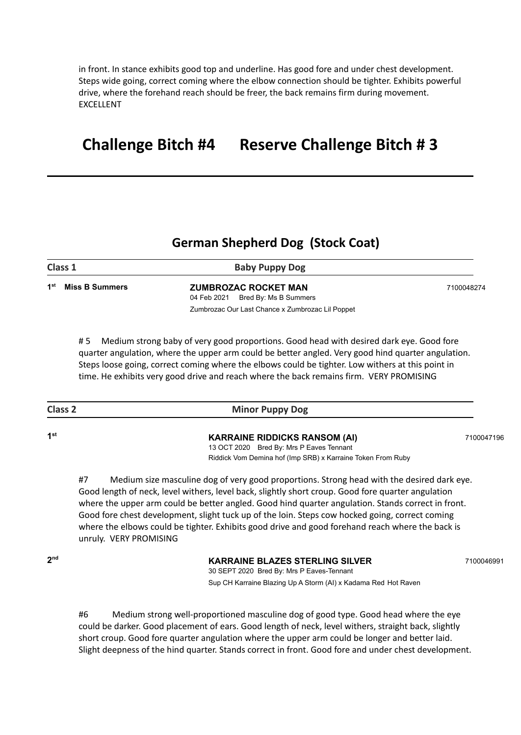in front. In stance exhibits good top and underline. Has good fore and under chest development. Steps wide going, correct coming where the elbow connection should be tighter. Exhibits powerful drive, where the forehand reach should be freer, the back remains firm during movement. EXCELLENT

## **Challenge Bitch #4 Reserve Challenge Bitch # 3**

## **German Shepherd Dog (Stock Coat)**

| Class 1                        | <b>Baby Puppy Dog</b>                            |            |
|--------------------------------|--------------------------------------------------|------------|
| 1 <sup>st</sup> Miss B Summers | <b>ZUMBROZAC ROCKET MAN</b>                      | 7100048274 |
|                                | 04 Feb 2021 Bred By: Ms B Summers                |            |
|                                | Zumbrozac Our Last Chance x Zumbrozac Lil Poppet |            |

# 5 Medium strong baby of very good proportions. Good head with desired dark eye. Good fore quarter angulation, where the upper arm could be better angled. Very good hind quarter angulation. Steps loose going, correct coming where the elbows could be tighter. Low withers at this point in time. He exhibits very good drive and reach where the back remains firm. VERY PROMISING

| <b>Class 2</b> | <b>Minor Puppy Dog</b> |
|----------------|------------------------|
|                |                        |

**st KARRAINE RIDDICKS RANSOM (AI)** <sup>7100047196</sup> 13 OCT 2020 Bred By: Mrs P Eaves Tennant

Riddick Vom Demina hof (Imp SRB) x Karraine Token From Ruby

#7 Medium size masculine dog of very good proportions. Strong head with the desired dark eye. Good length of neck, level withers, level back, slightly short croup. Good fore quarter angulation where the upper arm could be better angled. Good hind quarter angulation. Stands correct in front. Good fore chest development, slight tuck up of the loin. Steps cow hocked going, correct coming where the elbows could be tighter. Exhibits good drive and good forehand reach where the back is unruly. VERY PROMISING

**2**

**1**

#### **nd KARRAINE BLAZES STERLING SILVER** <sup>7100046991</sup>

30 SEPT 2020 Bred By: Mrs P Eaves-Tennant Sup CH Karraine Blazing Up A Storm (AI) x Kadama Red Hot Raven

#6 Medium strong well-proportioned masculine dog of good type. Good head where the eye could be darker. Good placement of ears. Good length of neck, level withers, straight back, slightly short croup. Good fore quarter angulation where the upper arm could be longer and better laid. Slight deepness of the hind quarter. Stands correct in front. Good fore and under chest development.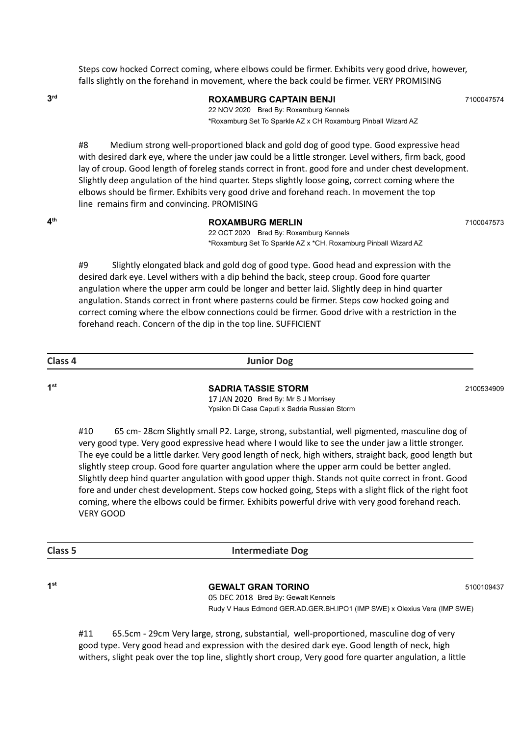Steps cow hocked Correct coming, where elbows could be firmer. Exhibits very good drive, however, falls slightly on the forehand in movement, where the back could be firmer. VERY PROMISING

**3**

### **rd ROXAMBURG CAPTAIN BENJI** <sup>7100047574</sup>

22 NOV 2020 Bred By: Roxamburg Kennels \*Roxamburg Set To Sparkle AZ x CH Roxamburg Pinball Wizard AZ

#8 Medium strong well-proportioned black and gold dog of good type. Good expressive head with desired dark eye, where the under jaw could be a little stronger. Level withers, firm back, good lay of croup. Good length of foreleg stands correct in front. good fore and under chest development. Slightly deep angulation of the hind quarter. Steps slightly loose going, correct coming where the elbows should be firmer. Exhibits very good drive and forehand reach. In movement the top line remains firm and convincing. PROMISING

**4**

#### **th ROXAMBURG MERLIN** <sup>7100047573</sup>

22 OCT 2020 Bred By: Roxamburg Kennels \*Roxamburg Set To Sparkle AZ x \*CH. Roxamburg Pinball Wizard AZ

#9 Slightly elongated black and gold dog of good type. Good head and expression with the desired dark eye. Level withers with a dip behind the back, steep croup. Good fore quarter angulation where the upper arm could be longer and better laid. Slightly deep in hind quarter angulation. Stands correct in front where pasterns could be firmer. Steps cow hocked going and correct coming where the elbow connections could be firmer. Good drive with a restriction in the forehand reach. Concern of the dip in the top line. SUFFICIENT

**1**

**Class 4 Junior Dog**

**st SADRIA TASSIE STORM** <sup>2100534909</sup>

17 JAN 2020 Bred By: Mr S J Morrisey Ypsilon Di Casa Caputi x Sadria Russian Storm

#10 65 cm- 28cm Slightly small P2. Large, strong, substantial, well pigmented, masculine dog of very good type. Very good expressive head where I would like to see the under jaw a little stronger. The eye could be a little darker. Very good length of neck, high withers, straight back, good length but slightly steep croup. Good fore quarter angulation where the upper arm could be better angled. Slightly deep hind quarter angulation with good upper thigh. Stands not quite correct in front. Good fore and under chest development. Steps cow hocked going, Steps with a slight flick of the right foot coming, where the elbows could be firmer. Exhibits powerful drive with very good forehand reach. VERY GOOD

| . .<br>v<br>×<br>۰,<br>۰, | w<br>٧ |
|---------------------------|--------|
|---------------------------|--------|

**Class 5 Intermediate Dog**

**st GEWALT GRAN TORINO** <sup>5100109437</sup>

05 DEC 2018 Bred By: Gewalt Kennels Rudy V Haus Edmond GER.AD.GER.BH.IPO1 (IMP SWE) x Olexius Vera (IMP SWE)

#11 65.5cm - 29cm Very large, strong, substantial, well-proportioned, masculine dog of very good type. Very good head and expression with the desired dark eye. Good length of neck, high withers, slight peak over the top line, slightly short croup, Very good fore quarter angulation, a little

**1**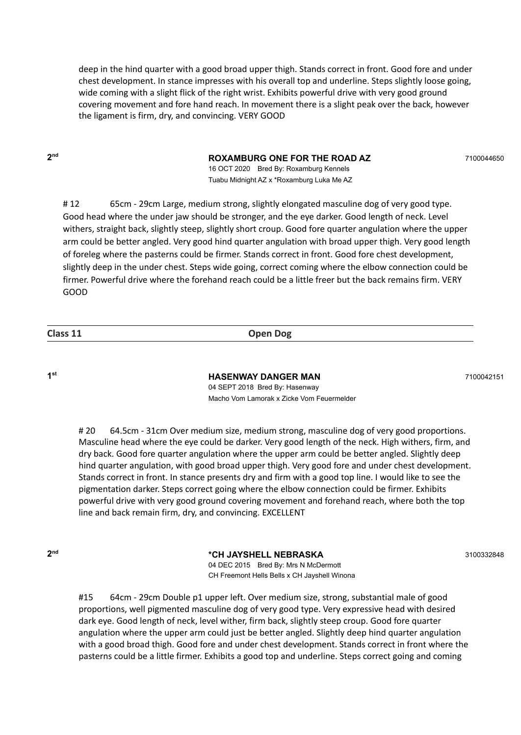deep in the hind quarter with a good broad upper thigh. Stands correct in front. Good fore and under chest development. In stance impresses with his overall top and underline. Steps slightly loose going, wide coming with a slight flick of the right wrist. Exhibits powerful drive with very good ground covering movement and fore hand reach. In movement there is a slight peak over the back, however the ligament is firm, dry, and convincing. VERY GOOD

**2**

#### **nd ROXAMBURG ONE FOR THE ROAD AZ** <sup>7100044650</sup>

16 OCT 2020 Bred By: Roxamburg Kennels Tuabu Midnight AZ x \*Roxamburg Luka Me AZ

# 12 65cm - 29cm Large, medium strong, slightly elongated masculine dog of very good type. Good head where the under jaw should be stronger, and the eye darker. Good length of neck. Level withers, straight back, slightly steep, slightly short croup. Good fore quarter angulation where the upper arm could be better angled. Very good hind quarter angulation with broad upper thigh. Very good length of foreleg where the pasterns could be firmer. Stands correct in front. Good fore chest development, slightly deep in the under chest. Steps wide going, correct coming where the elbow connection could be firmer. Powerful drive where the forehand reach could be a little freer but the back remains firm. VERY GOOD

**Class 11 Open Dog**

**1**

**st HASENWAY DANGER MAN** <sup>7100042151</sup> 04 SEPT 2018 Bred By: Hasenway Macho Vom Lamorak x Zicke Vom Feuermelder

# 20 64.5cm - 31cm Over medium size, medium strong, masculine dog of very good proportions. Masculine head where the eye could be darker. Very good length of the neck. High withers, firm, and dry back. Good fore quarter angulation where the upper arm could be better angled. Slightly deep hind quarter angulation, with good broad upper thigh. Very good fore and under chest development. Stands correct in front. In stance presents dry and firm with a good top line. I would like to see the pigmentation darker. Steps correct going where the elbow connection could be firmer. Exhibits powerful drive with very good ground covering movement and forehand reach, where both the top line and back remain firm, dry, and convincing. EXCELLENT

**2**

**nd \*CH JAYSHELL NEBRASKA** <sup>3100332848</sup> 04 DEC 2015 Bred By: Mrs N McDermott CH Freemont Hells Bells x CH Jayshell Winona

#15 64cm - 29cm Double p1 upper left. Over medium size, strong, substantial male of good proportions, well pigmented masculine dog of very good type. Very expressive head with desired dark eye. Good length of neck, level wither, firm back, slightly steep croup. Good fore quarter angulation where the upper arm could just be better angled. Slightly deep hind quarter angulation with a good broad thigh. Good fore and under chest development. Stands correct in front where the pasterns could be a little firmer. Exhibits a good top and underline. Steps correct going and coming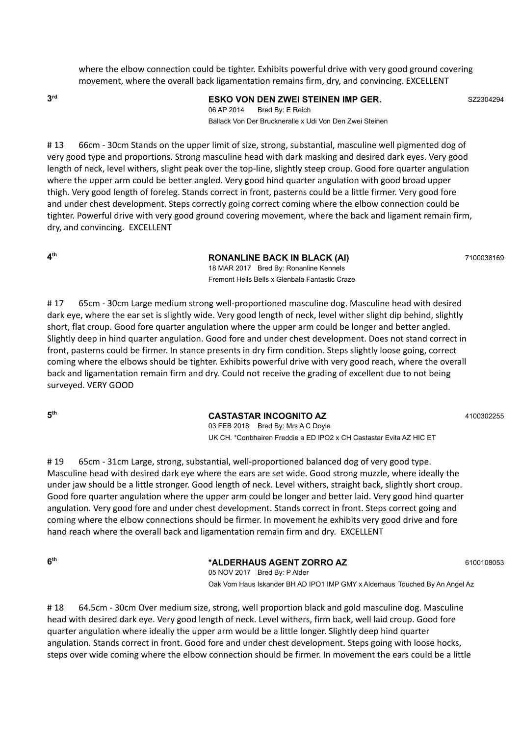where the elbow connection could be tighter. Exhibits powerful drive with very good ground covering movement, where the overall back ligamentation remains firm, dry, and convincing. EXCELLENT

**3**

#### **rd ESKO VON DEN ZWEI STEINEN IMP GER.** SZ2304294

06 AP 2014 Bred By: E Reich Ballack Von Der Bruckneralle x Udi Von Den Zwei Steinen

# 13 66cm - 30cm Stands on the upper limit of size, strong, substantial, masculine well pigmented dog of very good type and proportions. Strong masculine head with dark masking and desired dark eyes. Very good length of neck, level withers, slight peak over the top-line, slightly steep croup. Good fore quarter angulation where the upper arm could be better angled. Very good hind quarter angulation with good broad upper thigh. Very good length of foreleg. Stands correct in front, pasterns could be a little firmer. Very good fore and under chest development. Steps correctly going correct coming where the elbow connection could be tighter. Powerful drive with very good ground covering movement, where the back and ligament remain firm, dry, and convincing. EXCELLENT

**4**

#### **th RONANLINE BACK IN BLACK (AI)** <sup>7100038169</sup>

18 MAR 2017 Bred By: Ronanline Kennels Fremont Hells Bells x Glenbala Fantastic Craze

# 17 65cm - 30cm Large medium strong well-proportioned masculine dog. Masculine head with desired dark eye, where the ear set is slightly wide. Very good length of neck, level wither slight dip behind, slightly short, flat croup. Good fore quarter angulation where the upper arm could be longer and better angled. Slightly deep in hind quarter angulation. Good fore and under chest development. Does not stand correct in front, pasterns could be firmer. In stance presents in dry firm condition. Steps slightly loose going, correct coming where the elbows should be tighter. Exhibits powerful drive with very good reach, where the overall back and ligamentation remain firm and dry. Could not receive the grading of excellent due to not being surveyed. VERY GOOD

**5**

#### **th CASTASTAR INCOGNITO AZ** <sup>4100302255</sup>

03 FEB 2018 Bred By: Mrs A C Doyle UK CH. \*Conbhairen Freddie a ED IPO2 x CH Castastar Evita AZ HIC ET

# 19 65cm - 31cm Large, strong, substantial, well-proportioned balanced dog of very good type. Masculine head with desired dark eye where the ears are set wide. Good strong muzzle, where ideally the under jaw should be a little stronger. Good length of neck. Level withers, straight back, slightly short croup. Good fore quarter angulation where the upper arm could be longer and better laid. Very good hind quarter angulation. Very good fore and under chest development. Stands correct in front. Steps correct going and coming where the elbow connections should be firmer. In movement he exhibits very good drive and fore hand reach where the overall back and ligamentation remain firm and dry. EXCELLENT

**6**

#### **th \*ALDERHAUS AGENT ZORRO AZ** <sup>6100108053</sup>

05 NOV 2017 Bred By: P Alder Oak Vom Haus Iskander BH AD IPO1 IMP GMY x Alderhaus Touched By An Angel Az

# 18 64.5cm - 30cm Over medium size, strong, well proportion black and gold masculine dog. Masculine head with desired dark eye. Very good length of neck. Level withers, firm back, well laid croup. Good fore quarter angulation where ideally the upper arm would be a little longer. Slightly deep hind quarter angulation. Stands correct in front. Good fore and under chest development. Steps going with loose hocks, steps over wide coming where the elbow connection should be firmer. In movement the ears could be a little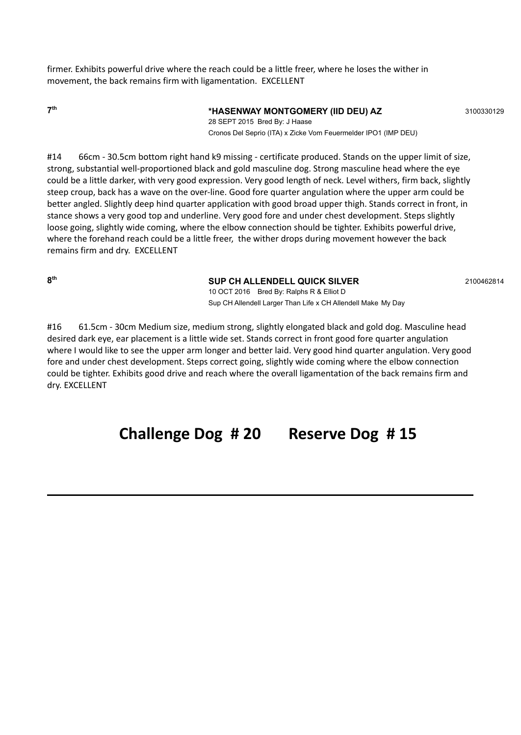firmer. Exhibits powerful drive where the reach could be a little freer, where he loses the wither in movement, the back remains firm with ligamentation. EXCELLENT

**7**

#### **th \*HASENWAY MONTGOMERY (IID DEU) AZ** <sup>3100330129</sup>

28 SEPT 2015 Bred By: J Haase Cronos Del Seprio (ITA) x Zicke Vom Feuermelder IPO1 (IMP DEU)

#14 66cm - 30.5cm bottom right hand k9 missing - certificate produced. Stands on the upper limit of size, strong, substantial well-proportioned black and gold masculine dog. Strong masculine head where the eye could be a little darker, with very good expression. Very good length of neck. Level withers, firm back, slightly steep croup, back has a wave on the over-line. Good fore quarter angulation where the upper arm could be better angled. Slightly deep hind quarter application with good broad upper thigh. Stands correct in front, in stance shows a very good top and underline. Very good fore and under chest development. Steps slightly loose going, slightly wide coming, where the elbow connection should be tighter. Exhibits powerful drive, where the forehand reach could be a little freer, the wither drops during movement however the back remains firm and dry. EXCELLENT

**8**

#### **th SUP CH ALLENDELL QUICK SILVER** <sup>2100462814</sup>

10 OCT 2016 Bred By: Ralphs R & Elliot D Sup CH Allendell Larger Than Life x CH Allendell Make My Day

#16 61.5cm - 30cm Medium size, medium strong, slightly elongated black and gold dog. Masculine head desired dark eye, ear placement is a little wide set. Stands correct in front good fore quarter angulation where I would like to see the upper arm longer and better laid. Very good hind quarter angulation. Very good fore and under chest development. Steps correct going, slightly wide coming where the elbow connection could be tighter. Exhibits good drive and reach where the overall ligamentation of the back remains firm and dry. EXCELLENT

## **Challenge Dog # 20 Reserve Dog # 15**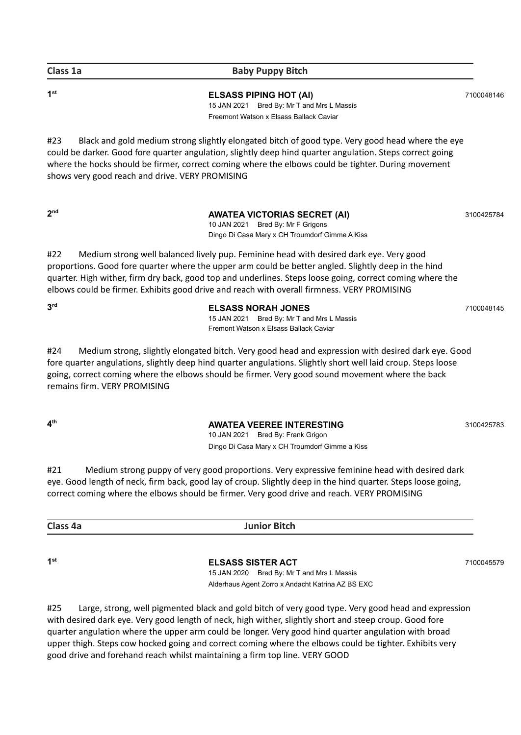### **Class 1a Baby Puppy Bitch**

**1**

**st ELSASS PIPING HOT (AI)** <sup>7100048146</sup> 15 JAN 2021 Bred By: Mr T and Mrs L Massis Freemont Watson x Elsass Ballack Caviar

#23 Black and gold medium strong slightly elongated bitch of good type. Very good head where the eye could be darker. Good fore quarter angulation, slightly deep hind quarter angulation. Steps correct going where the hocks should be firmer, correct coming where the elbows could be tighter. During movement shows very good reach and drive. VERY PROMISING

**2**

### **aWATEA VICTORIAS SECRET (AI)** 3100425784

10 JAN 2021 Bred By: Mr F Grigons Dingo Di Casa Mary x CH Troumdorf Gimme A Kiss

#22 Medium strong well balanced lively pup. Feminine head with desired dark eye. Very good proportions. Good fore quarter where the upper arm could be better angled. Slightly deep in the hind quarter. High wither, firm dry back, good top and underlines. Steps loose going, correct coming where the elbows could be firmer. Exhibits good drive and reach with overall firmness. VERY PROMISING

**3rd** 

**rd ELSASS NORAH JONES** <sup>7100048145</sup> 15 JAN 2021 Bred By: Mr T and Mrs L Massis Fremont Watson x Elsass Ballack Caviar

#24 Medium strong, slightly elongated bitch. Very good head and expression with desired dark eye. Good fore quarter angulations, slightly deep hind quarter angulations. Slightly short well laid croup. Steps loose going, correct coming where the elbows should be firmer. Very good sound movement where the back remains firm. VERY PROMISING

**4**

### **th AWATEA VEEREE INTERESTING** <sup>3100425783</sup>

10 JAN 2021 Bred By: Frank Grigon Dingo Di Casa Mary x CH Troumdorf Gimme a Kiss

#21 Medium strong puppy of very good proportions. Very expressive feminine head with desired dark eye. Good length of neck, firm back, good lay of croup. Slightly deep in the hind quarter. Steps loose going, correct coming where the elbows should be firmer. Very good drive and reach. VERY PROMISING

**Class 4a Junior Bitch**

**1**

**st ELSASS SISTER ACT** <sup>7100045579</sup>

15 JAN 2020 Bred By: Mr T and Mrs L Massis Alderhaus Agent Zorro x Andacht Katrina AZ BS EXC

#25 Large, strong, well pigmented black and gold bitch of very good type. Very good head and expression with desired dark eye. Very good length of neck, high wither, slightly short and steep croup. Good fore quarter angulation where the upper arm could be longer. Very good hind quarter angulation with broad upper thigh. Steps cow hocked going and correct coming where the elbows could be tighter. Exhibits very good drive and forehand reach whilst maintaining a firm top line. VERY GOOD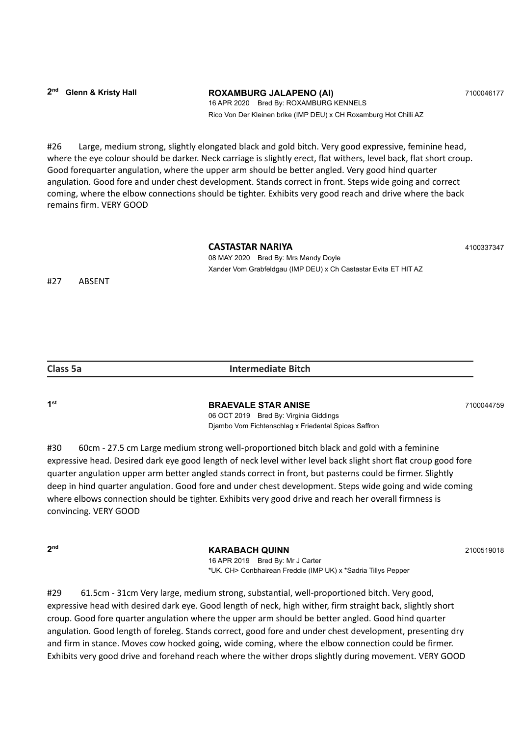#26 Large, medium strong, slightly elongated black and gold bitch. Very good expressive, feminine head, where the eye colour should be darker. Neck carriage is slightly erect, flat withers, level back, flat short croup. Good forequarter angulation, where the upper arm should be better angled. Very good hind quarter angulation. Good fore and under chest development. Stands correct in front. Steps wide going and correct coming, where the elbow connections should be tighter. Exhibits very good reach and drive where the back remains firm. VERY GOOD

#### **CASTASTAR NARIYA** <sup>4100337347</sup>

08 MAY 2020 Bred By: Mrs Mandy Doyle Xander Vom Grabfeldgau (IMP DEU) x Ch Castastar Evita ET HIT AZ

#27 ABSENT

| <b>Class 5a</b> | <b>Intermediate Bitch</b> |
|-----------------|---------------------------|
|                 |                           |

**1**

#### **st BRAEVALE STAR ANISE** <sup>7100044759</sup>

06 OCT 2019 Bred By: Virginia Giddings Djambo Vom Fichtenschlag x Friedental Spices Saffron

#30 60cm - 27.5 cm Large medium strong well-proportioned bitch black and gold with a feminine expressive head. Desired dark eye good length of neck level wither level back slight short flat croup good fore quarter angulation upper arm better angled stands correct in front, but pasterns could be firmer. Slightly deep in hind quarter angulation. Good fore and under chest development. Steps wide going and wide coming where elbows connection should be tighter. Exhibits very good drive and reach her overall firmness is convincing. VERY GOOD

**2**

**KARABACH QUINN** 2100519018

16 APR 2019 Bred By: Mr J Carter \*UK. CH> Conbhairean Freddie (IMP UK) x \*Sadria Tillys Pepper

#29 61.5cm - 31cm Very large, medium strong, substantial, well-proportioned bitch. Very good, expressive head with desired dark eye. Good length of neck, high wither, firm straight back, slightly short croup. Good fore quarter angulation where the upper arm should be better angled. Good hind quarter angulation. Good length of foreleg. Stands correct, good fore and under chest development, presenting dry and firm in stance. Moves cow hocked going, wide coming, where the elbow connection could be firmer. Exhibits very good drive and forehand reach where the wither drops slightly during movement. VERY GOOD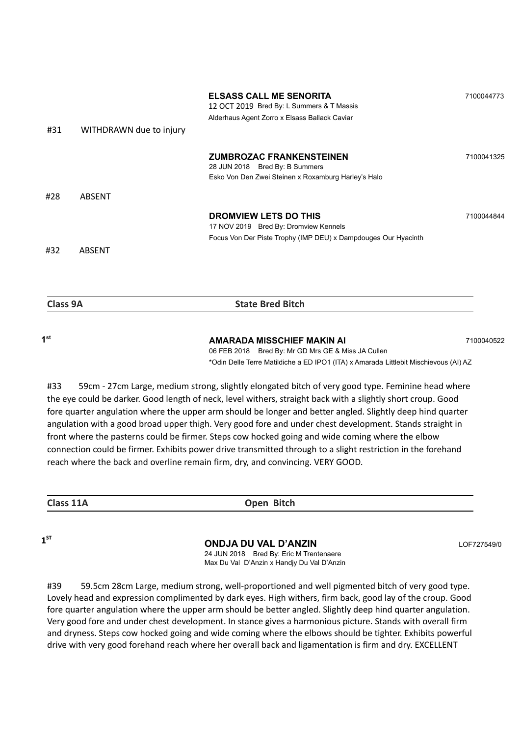| #31 |                         | <b>ELSASS CALL ME SENORITA</b><br>12 OCT 2019 Bred By: L Summers & T Massis<br>Alderhaus Agent Zorro x Elsass Ballack Caviar     | 7100044773 |
|-----|-------------------------|----------------------------------------------------------------------------------------------------------------------------------|------------|
|     | WITHDRAWN due to injury |                                                                                                                                  |            |
|     |                         | <b>ZUMBROZAC FRANKENSTEINEN</b><br>28 JUN 2018 Bred By: B Summers<br>Esko Von Den Zwei Steinen x Roxamburg Harley's Halo         | 7100041325 |
| #28 | ABSENT                  |                                                                                                                                  |            |
|     |                         | DROMVIEW LETS DO THIS<br>17 NOV 2019 Bred By: Dromview Kennels<br>Focus Von Der Piste Trophy (IMP DEU) x Dampdouges Our Hyacinth | 7100044844 |
| #32 | ABSENT                  |                                                                                                                                  |            |
|     |                         |                                                                                                                                  |            |

| Class 9A | <b>State Bred Bitch</b>                            |            |
|----------|----------------------------------------------------|------------|
| ⊿st      | AMARADA MISSCHIEF MAKIN AI                         | 7100040522 |
|          | 06 FEB 2018 Bred By: Mr GD Mrs GE & Miss JA Cullen |            |

\*Odin Delle Terre Matildiche a ED IPO1 (ITA) x Amarada Littlebit Mischievous (AI) AZ

#33 59cm - 27cm Large, medium strong, slightly elongated bitch of very good type. Feminine head where the eye could be darker. Good length of neck, level withers, straight back with a slightly short croup. Good fore quarter angulation where the upper arm should be longer and better angled. Slightly deep hind quarter angulation with a good broad upper thigh. Very good fore and under chest development. Stands straight in front where the pasterns could be firmer. Steps cow hocked going and wide coming where the elbow connection could be firmer. Exhibits power drive transmitted through to a slight restriction in the forehand reach where the back and overline remain firm, dry, and convincing. VERY GOOD.

**Class 11A Open Bitch**

 $1^{57}$ 

#### **ST ONDJA DU VAL D'ANZIN** LOF727549/0

24 JUN 2018 Bred By: Eric M Trentenaere Max Du Val D'Anzin x Handjy Du Val D'Anzin

#39 59.5cm 28cm Large, medium strong, well-proportioned and well pigmented bitch of very good type. Lovely head and expression complimented by dark eyes. High withers, firm back, good lay of the croup. Good fore quarter angulation where the upper arm should be better angled. Slightly deep hind quarter angulation. Very good fore and under chest development. In stance gives a harmonious picture. Stands with overall firm and dryness. Steps cow hocked going and wide coming where the elbows should be tighter. Exhibits powerful drive with very good forehand reach where her overall back and ligamentation is firm and dry. EXCELLENT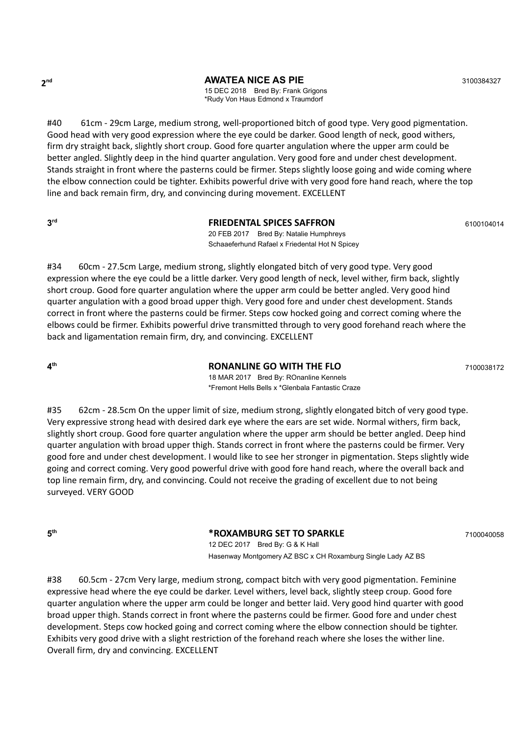**2**

**nd AWATEA NICE AS PIE** 3100384327

15 DEC 2018 Bred By: Frank Grigons \*Rudy Von Haus Edmond x Traumdorf

#40 61cm - 29cm Large, medium strong, well-proportioned bitch of good type. Very good pigmentation. Good head with very good expression where the eye could be darker. Good length of neck, good withers, firm dry straight back, slightly short croup. Good fore quarter angulation where the upper arm could be better angled. Slightly deep in the hind quarter angulation. Very good fore and under chest development. Stands straight in front where the pasterns could be firmer. Steps slightly loose going and wide coming where the elbow connection could be tighter. Exhibits powerful drive with very good fore hand reach, where the top line and back remain firm, dry, and convincing during movement. EXCELLENT

**3**

#### **FRIEDENTAL SPICES SAFFRON** 6100104014

20 FEB 2017 Bred By: Natalie Humphreys Schaaeferhund Rafael x Friedental Hot N Spicey

#34 60cm - 27.5cm Large, medium strong, slightly elongated bitch of very good type. Very good expression where the eye could be a little darker. Very good length of neck, level wither, firm back, slightly short croup. Good fore quarter angulation where the upper arm could be better angled. Very good hind quarter angulation with a good broad upper thigh. Very good fore and under chest development. Stands correct in front where the pasterns could be firmer. Steps cow hocked going and correct coming where the elbows could be firmer. Exhibits powerful drive transmitted through to very good forehand reach where the back and ligamentation remain firm, dry, and convincing. EXCELLENT

**4**

**RONANLINE GO WITH THE FLO** 7100038172

18 MAR 2017 Bred By: ROnanline Kennels \*Fremont Hells Bells x \*Glenbala Fantastic Craze

#35 62cm - 28.5cm On the upper limit of size, medium strong, slightly elongated bitch of very good type. Very expressive strong head with desired dark eye where the ears are set wide. Normal withers, firm back, slightly short croup. Good fore quarter angulation where the upper arm should be better angled. Deep hind quarter angulation with broad upper thigh. Stands correct in front where the pasterns could be firmer. Very good fore and under chest development. I would like to see her stronger in pigmentation. Steps slightly wide going and correct coming. Very good powerful drive with good fore hand reach, where the overall back and top line remain firm, dry, and convincing. Could not receive the grading of excellent due to not being surveyed. VERY GOOD

**5**

**th \*ROXAMBURG SET TO SPARKLE** <sup>7100040058</sup>

12 DEC 2017 Bred By: G & K Hall Hasenway Montgomery AZ BSC x CH Roxamburg Single Lady AZ BS

#38 60.5cm - 27cm Very large, medium strong, compact bitch with very good pigmentation. Feminine expressive head where the eye could be darker. Level withers, level back, slightly steep croup. Good fore quarter angulation where the upper arm could be longer and better laid. Very good hind quarter with good broad upper thigh. Stands correct in front where the pasterns could be firmer. Good fore and under chest development. Steps cow hocked going and correct coming where the elbow connection should be tighter. Exhibits very good drive with a slight restriction of the forehand reach where she loses the wither line. Overall firm, dry and convincing. EXCELLENT